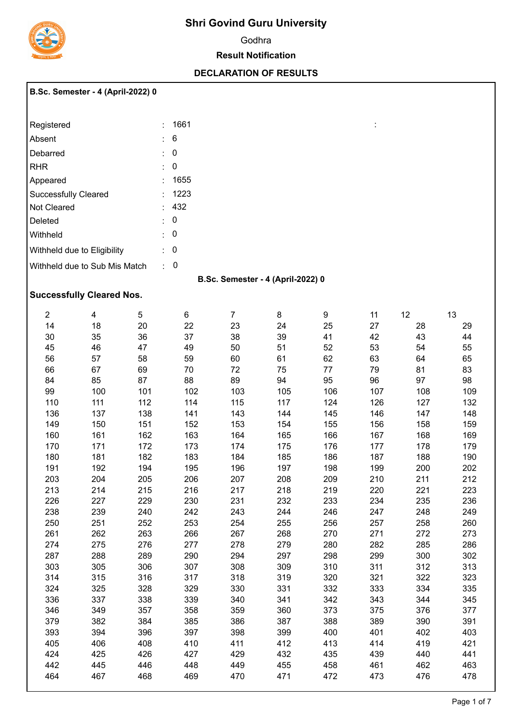

# **Shri Govind Guru University**

Godhra

#### **Result Notification**

### **DECLARATION OF RESULTS**

:

### **B.Sc. Semester - 4 (April-2022) 0**

| Registered                    |       | · 1661 |
|-------------------------------|-------|--------|
| Absent                        | t - 1 | 6      |
| Debarred                      | t.    | 0      |
| <b>RHR</b>                    | ÷.    | 0      |
| Appeared                      | ٠.    | 1655   |
| <b>Successfully Cleared</b>   |       | : 1223 |
| Not Cleared                   |       | : 432  |
| Deleted                       | ۰.    | 0      |
| Withheld                      | ۰.    | 0      |
| Withheld due to Eligibility   | t.    | 0      |
| Withheld due to Sub Mis Match | ٠     | O      |

### **B.Sc. Semester - 4 (April-2022) 0**

## **Successfully Cleared Nos.**

| $\overline{2}$ | 4   | 5   | 6   | $\overline{7}$ | 8   | 9   | 11  | 12  | 13  |
|----------------|-----|-----|-----|----------------|-----|-----|-----|-----|-----|
| 14             | 18  | 20  | 22  | 23             | 24  | 25  | 27  | 28  | 29  |
| 30             | 35  | 36  | 37  | 38             | 39  | 41  | 42  | 43  | 44  |
| 45             | 46  | 47  | 49  | 50             | 51  | 52  | 53  | 54  | 55  |
| 56             | 57  | 58  | 59  | 60             | 61  | 62  | 63  | 64  | 65  |
| 66             | 67  | 69  | 70  | 72             | 75  | 77  | 79  | 81  | 83  |
| 84             | 85  | 87  | 88  | 89             | 94  | 95  | 96  | 97  | 98  |
| 99             | 100 | 101 | 102 | 103            | 105 | 106 | 107 | 108 | 109 |
| 110            | 111 | 112 | 114 | 115            | 117 | 124 | 126 | 127 | 132 |
| 136            | 137 | 138 | 141 | 143            | 144 | 145 | 146 | 147 | 148 |
| 149            | 150 | 151 | 152 | 153            | 154 | 155 | 156 | 158 | 159 |
| 160            | 161 | 162 | 163 | 164            | 165 | 166 | 167 | 168 | 169 |
| 170            | 171 | 172 | 173 | 174            | 175 | 176 | 177 | 178 | 179 |
| 180            | 181 | 182 | 183 | 184            | 185 | 186 | 187 | 188 | 190 |
| 191            | 192 | 194 | 195 | 196            | 197 | 198 | 199 | 200 | 202 |
| 203            | 204 | 205 | 206 | 207            | 208 | 209 | 210 | 211 | 212 |
| 213            | 214 | 215 | 216 | 217            | 218 | 219 | 220 | 221 | 223 |
| 226            | 227 | 229 | 230 | 231            | 232 | 233 | 234 | 235 | 236 |
| 238            | 239 | 240 | 242 | 243            | 244 | 246 | 247 | 248 | 249 |
| 250            | 251 | 252 | 253 | 254            | 255 | 256 | 257 | 258 | 260 |
| 261            | 262 | 263 | 266 | 267            | 268 | 270 | 271 | 272 | 273 |
| 274            | 275 | 276 | 277 | 278            | 279 | 280 | 282 | 285 | 286 |
| 287            | 288 | 289 | 290 | 294            | 297 | 298 | 299 | 300 | 302 |
| 303            | 305 | 306 | 307 | 308            | 309 | 310 | 311 | 312 | 313 |
| 314            | 315 | 316 | 317 | 318            | 319 | 320 | 321 | 322 | 323 |
| 324            | 325 | 328 | 329 | 330            | 331 | 332 | 333 | 334 | 335 |
| 336            | 337 | 338 | 339 | 340            | 341 | 342 | 343 | 344 | 345 |
| 346            | 349 | 357 | 358 | 359            | 360 | 373 | 375 | 376 | 377 |
| 379            | 382 | 384 | 385 | 386            | 387 | 388 | 389 | 390 | 391 |
| 393            | 394 | 396 | 397 | 398            | 399 | 400 | 401 | 402 | 403 |
| 405            | 406 | 408 | 410 | 411            | 412 | 413 | 414 | 419 | 421 |
| 424            | 425 | 426 | 427 | 429            | 432 | 435 | 439 | 440 | 441 |
| 442            | 445 | 446 | 448 | 449            | 455 | 458 | 461 | 462 | 463 |
| 464            | 467 | 468 | 469 | 470            | 471 | 472 | 473 | 476 | 478 |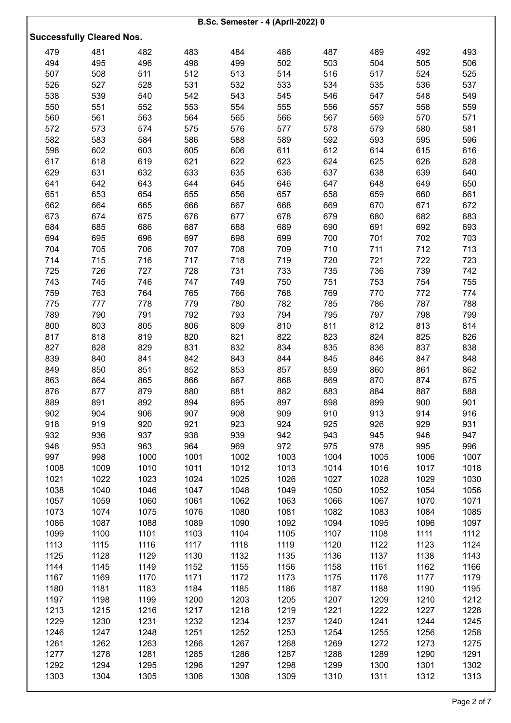|      |                                  |      |      | <b>B.Sc. Semester - 4 (April-2022) 0</b> |      |      |      |      |      |
|------|----------------------------------|------|------|------------------------------------------|------|------|------|------|------|
|      | <b>Successfully Cleared Nos.</b> |      |      |                                          |      |      |      |      |      |
| 479  | 481                              | 482  | 483  | 484                                      | 486  | 487  | 489  | 492  | 493  |
| 494  | 495                              | 496  | 498  | 499                                      | 502  | 503  | 504  | 505  | 506  |
| 507  | 508                              | 511  | 512  | 513                                      | 514  | 516  | 517  | 524  | 525  |
| 526  | 527                              | 528  | 531  | 532                                      | 533  | 534  | 535  | 536  | 537  |
| 538  | 539                              | 540  | 542  | 543                                      | 545  | 546  | 547  | 548  | 549  |
| 550  | 551                              | 552  | 553  | 554                                      | 555  | 556  | 557  | 558  | 559  |
| 560  | 561                              | 563  | 564  | 565                                      | 566  | 567  | 569  | 570  | 571  |
| 572  | 573                              | 574  | 575  | 576                                      | 577  | 578  | 579  | 580  | 581  |
| 582  | 583                              | 584  | 586  | 588                                      | 589  | 592  | 593  | 595  | 596  |
| 598  | 602                              | 603  | 605  | 606                                      | 611  | 612  | 614  | 615  | 616  |
| 617  | 618                              | 619  | 621  | 622                                      | 623  | 624  | 625  | 626  | 628  |
| 629  | 631                              | 632  | 633  | 635                                      | 636  | 637  | 638  | 639  | 640  |
| 641  | 642                              | 643  | 644  | 645                                      | 646  | 647  | 648  | 649  | 650  |
| 651  | 653                              | 654  | 655  | 656                                      | 657  | 658  | 659  | 660  | 661  |
| 662  | 664                              | 665  | 666  | 667                                      | 668  | 669  | 670  | 671  | 672  |
| 673  | 674                              | 675  | 676  | 677                                      | 678  | 679  | 680  | 682  | 683  |
| 684  | 685                              | 686  | 687  | 688                                      | 689  | 690  | 691  | 692  | 693  |
| 694  | 695                              | 696  | 697  | 698                                      | 699  | 700  | 701  | 702  | 703  |
| 704  | 705                              | 706  | 707  | 708                                      | 709  | 710  | 711  | 712  | 713  |
| 714  | 715                              | 716  | 717  | 718                                      | 719  | 720  | 721  | 722  | 723  |
| 725  | 726                              | 727  | 728  | 731                                      | 733  | 735  | 736  | 739  | 742  |
| 743  | 745                              | 746  | 747  | 749                                      | 750  | 751  | 753  | 754  | 755  |
| 759  | 763                              | 764  | 765  | 766                                      | 768  | 769  | 770  | 772  | 774  |
| 775  | 777                              | 778  | 779  | 780                                      | 782  | 785  | 786  | 787  | 788  |
| 789  | 790                              | 791  | 792  | 793                                      | 794  | 795  | 797  | 798  | 799  |
| 800  | 803                              | 805  | 806  | 809                                      | 810  | 811  | 812  | 813  | 814  |
| 817  | 818                              | 819  | 820  | 821                                      | 822  | 823  | 824  | 825  | 826  |
| 827  | 828                              | 829  | 831  | 832                                      | 834  | 835  | 836  | 837  | 838  |
| 839  | 840                              | 841  | 842  | 843                                      | 844  | 845  | 846  | 847  | 848  |
| 849  | 850                              | 851  | 852  | 853                                      | 857  | 859  | 860  | 861  | 862  |
| 863  | 864                              | 865  | 866  | 867                                      | 868  | 869  | 870  | 874  | 875  |
| 876  | 877                              | 879  | 880  | 881                                      | 882  | 883  | 884  | 887  | 888  |
| 889  | 891                              | 892  | 894  | 895                                      | 897  | 898  | 899  | 900  | 901  |
| 902  | 904                              | 906  | 907  | 908                                      | 909  | 910  | 913  | 914  | 916  |
| 918  | 919                              | 920  | 921  | 923                                      | 924  | 925  | 926  | 929  | 931  |
| 932  | 936                              | 937  | 938  | 939                                      | 942  | 943  | 945  | 946  | 947  |
| 948  | 953                              | 963  | 964  | 969                                      | 972  | 975  | 978  | 995  | 996  |
| 997  | 998                              | 1000 | 1001 | 1002                                     | 1003 | 1004 | 1005 | 1006 | 1007 |
| 1008 | 1009                             | 1010 | 1011 | 1012                                     | 1013 | 1014 | 1016 | 1017 | 1018 |
| 1021 | 1022                             | 1023 | 1024 | 1025                                     | 1026 | 1027 | 1028 | 1029 | 1030 |
| 1038 | 1040                             | 1046 | 1047 | 1048                                     | 1049 | 1050 | 1052 | 1054 | 1056 |
| 1057 | 1059                             | 1060 | 1061 | 1062                                     | 1063 | 1066 | 1067 | 1070 | 1071 |
| 1073 | 1074                             | 1075 | 1076 | 1080                                     | 1081 | 1082 | 1083 | 1084 | 1085 |
| 1086 | 1087                             | 1088 | 1089 | 1090                                     | 1092 | 1094 | 1095 | 1096 | 1097 |
| 1099 | 1100                             | 1101 | 1103 | 1104                                     | 1105 | 1107 | 1108 | 1111 | 1112 |
| 1113 | 1115                             | 1116 | 1117 | 1118                                     | 1119 | 1120 | 1122 | 1123 | 1124 |
| 1125 | 1128                             | 1129 | 1130 | 1132                                     | 1135 | 1136 | 1137 | 1138 | 1143 |
| 1144 | 1145                             | 1149 | 1152 | 1155                                     | 1156 | 1158 | 1161 | 1162 | 1166 |
| 1167 | 1169                             | 1170 | 1171 | 1172                                     | 1173 | 1175 | 1176 | 1177 | 1179 |
| 1180 | 1181                             | 1183 | 1184 | 1185                                     | 1186 | 1187 | 1188 | 1190 | 1195 |
| 1197 | 1198                             | 1199 | 1200 | 1203                                     | 1205 | 1207 | 1209 | 1210 | 1212 |
| 1213 | 1215                             | 1216 | 1217 | 1218                                     | 1219 | 1221 | 1222 | 1227 | 1228 |
| 1229 | 1230                             | 1231 | 1232 | 1234                                     | 1237 | 1240 | 1241 | 1244 | 1245 |
| 1246 | 1247                             | 1248 | 1251 | 1252                                     | 1253 | 1254 | 1255 | 1256 | 1258 |
| 1261 | 1262                             | 1263 | 1266 | 1267                                     | 1268 | 1269 | 1272 | 1273 | 1275 |
| 1277 | 1278                             | 1281 | 1285 | 1286                                     | 1287 | 1288 | 1289 | 1290 | 1291 |
| 1292 | 1294                             | 1295 | 1296 | 1297                                     | 1298 | 1299 | 1300 | 1301 | 1302 |
| 1303 | 1304                             | 1305 | 1306 | 1308                                     | 1309 | 1310 | 1311 | 1312 | 1313 |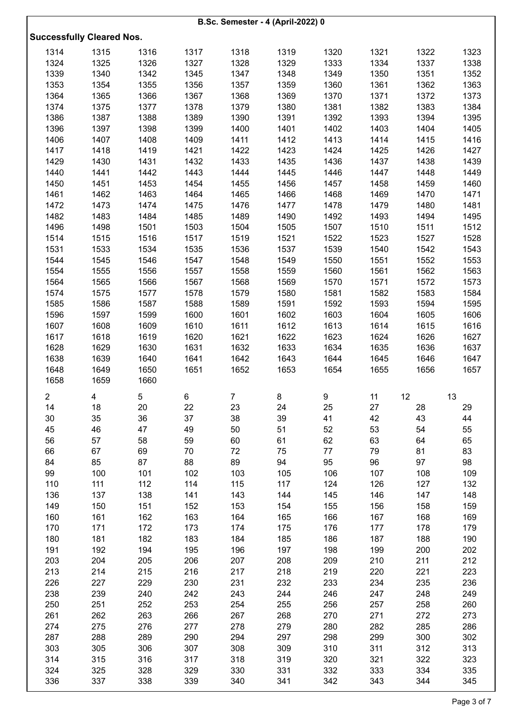|                |                                  |            |            | <b>B.Sc. Semester - 4 (April-2022) 0</b> |            |            |            |            |            |
|----------------|----------------------------------|------------|------------|------------------------------------------|------------|------------|------------|------------|------------|
|                |                                  |            |            |                                          |            |            |            |            |            |
|                | <b>Successfully Cleared Nos.</b> |            |            |                                          |            |            |            |            |            |
| 1314           | 1315                             | 1316       | 1317       | 1318                                     | 1319       | 1320       | 1321       | 1322       | 1323       |
| 1324           | 1325                             | 1326       | 1327       | 1328                                     | 1329       | 1333       | 1334       | 1337       | 1338       |
| 1339           | 1340                             | 1342       | 1345       | 1347                                     | 1348       | 1349       | 1350       | 1351       | 1352       |
| 1353           | 1354                             | 1355       | 1356       | 1357                                     | 1359       | 1360       | 1361       | 1362       | 1363       |
| 1364           | 1365                             | 1366       | 1367       | 1368                                     | 1369       | 1370       | 1371       | 1372       | 1373       |
| 1374           | 1375                             | 1377       | 1378       | 1379                                     | 1380       | 1381       | 1382       | 1383       | 1384       |
| 1386           | 1387                             | 1388       | 1389       | 1390                                     | 1391       | 1392       | 1393       | 1394       | 1395       |
| 1396           | 1397                             | 1398       | 1399       | 1400                                     | 1401       | 1402       | 1403       | 1404       | 1405       |
| 1406           | 1407                             | 1408       | 1409       | 1411                                     | 1412       | 1413       | 1414       | 1415       | 1416       |
| 1417           | 1418                             | 1419       | 1421       | 1422                                     | 1423       | 1424       | 1425       | 1426       | 1427       |
| 1429           | 1430                             | 1431       | 1432       | 1433                                     | 1435       | 1436       | 1437       | 1438       | 1439       |
| 1440           | 1441                             | 1442       | 1443       | 1444                                     | 1445       | 1446       | 1447       | 1448       | 1449       |
| 1450           | 1451                             | 1453       | 1454       | 1455                                     | 1456       | 1457       | 1458       | 1459       | 1460       |
| 1461           | 1462                             | 1463       | 1464       | 1465                                     | 1466       | 1468       | 1469       | 1470       | 1471       |
| 1472           | 1473                             | 1474       | 1475       | 1476                                     | 1477       | 1478       | 1479       | 1480       | 1481       |
| 1482           | 1483                             | 1484       | 1485       | 1489                                     | 1490       | 1492       | 1493       | 1494       | 1495       |
| 1496           | 1498                             | 1501       | 1503       | 1504                                     | 1505       | 1507       | 1510       | 1511       | 1512       |
| 1514           | 1515                             | 1516       | 1517       | 1519                                     | 1521       | 1522       | 1523       | 1527       | 1528       |
| 1531           | 1533                             | 1534       | 1535       | 1536                                     | 1537       | 1539       | 1540       | 1542       | 1543       |
| 1544           | 1545                             | 1546       | 1547       | 1548                                     | 1549       | 1550       | 1551       | 1552       | 1553       |
| 1554           | 1555                             | 1556       | 1557       | 1558                                     | 1559       | 1560       | 1561       | 1562       | 1563       |
| 1564           | 1565                             | 1566       | 1567       | 1568                                     | 1569       | 1570       | 1571       | 1572       | 1573       |
| 1574           | 1575                             | 1577       | 1578       | 1579                                     | 1580       | 1581       | 1582       | 1583       | 1584       |
| 1585           | 1586                             | 1587       | 1588       | 1589                                     | 1591       | 1592       | 1593       | 1594       | 1595       |
| 1596           | 1597                             | 1599       | 1600       | 1601                                     | 1602       | 1603       | 1604       | 1605       | 1606       |
| 1607           | 1608                             | 1609       | 1610       | 1611                                     | 1612       | 1613       | 1614       | 1615       | 1616       |
| 1617           | 1618                             | 1619       | 1620       | 1621                                     | 1622       | 1623       | 1624       | 1626       | 1627       |
| 1628           | 1629                             | 1630       | 1631       | 1632                                     | 1633       | 1634       | 1635       | 1636       | 1637       |
| 1638           | 1639                             | 1640       | 1641       | 1642                                     | 1643       | 1644       | 1645       | 1646       | 1647       |
| 1648           | 1649                             | 1650       | 1651       | 1652                                     | 1653       | 1654       | 1655       | 1656       | 1657       |
| 1658           | 1659                             | 1660       |            |                                          |            |            |            |            |            |
| $\overline{2}$ | 4                                | 5          | 6          | 7                                        | 8          | 9          | 11         | 12         | 13         |
| 14             | 18                               | 20         | 22         | 23                                       | 24         | 25         | 27         | 28         | 29         |
| 30             | 35                               | 36         | 37         | 38                                       | 39         | 41         | 42         | 43         | 44         |
| 45             | 46                               | 47         | 49         | 50                                       | 51         | 52         | 53         | 54         | 55         |
| 56             | 57                               | 58         | 59         | 60                                       | 61         | 62         | 63         | 64         | 65         |
| 66             | 67                               | 69         | 70         | 72                                       | 75         | 77         | 79         | 81         | 83         |
| 84             | 85                               | 87         | 88         | 89                                       | 94         | 95         | 96         | 97         | 98         |
| 99             | 100                              | 101        | 102        | 103                                      | 105        | 106        | 107        | 108        | 109        |
| 110            | 111                              | 112        | 114        | 115                                      | 117        | 124        | 126        | 127        | 132        |
| 136            | 137                              | 138        | 141        | 143                                      | 144        | 145        | 146        | 147        | 148        |
| 149            | 150                              | 151        | 152        | 153                                      | 154        | 155        | 156        | 158        | 159        |
| 160            | 161                              | 162        | 163        | 164                                      | 165        | 166        | 167        | 168        | 169        |
| 170            | 171                              | 172        | 173        | 174                                      | 175        | 176        | 177        | 178        | 179        |
| 180            | 181                              | 182        | 183        | 184                                      | 185        | 186        | 187        | 188        | 190        |
| 191            | 192                              | 194        | 195        | 196                                      | 197        | 198        | 199        | 200        | 202        |
| 203            | 204                              | 205        | 206        | 207                                      | 208        | 209        | 210        | 211        | 212        |
| 213            | 214                              | 215        | 216        | 217                                      | 218        | 219        | 220        | 221        | 223        |
| 226            | 227                              | 229        | 230        | 231                                      | 232        | 233        | 234        | 235        | 236        |
| 238<br>250     | 239<br>251                       | 240<br>252 | 242<br>253 | 243<br>254                               | 244<br>255 | 246<br>256 | 247<br>257 | 248<br>258 | 249<br>260 |
| 261            | 262                              | 263        | 266        | 267                                      | 268        | 270        | 271        | 272        | 273        |
| 274            | 275                              | 276        | 277        | 278                                      | 279        | 280        | 282        | 285        | 286        |
| 287            | 288                              | 289        | 290        | 294                                      | 297        | 298        | 299        | 300        | 302        |
| 303            | 305                              | 306        | 307        | 308                                      | 309        | 310        | 311        | 312        | 313        |
| 314            | 315                              | 316        | 317        | 318                                      | 319        | 320        | 321        | 322        | 323        |
| 324            | 325                              | 328        | 329        | 330                                      | 331        | 332        | 333        | 334        | 335        |
| 336            | 337                              | 338        | 339        | 340                                      | 341        | 342        | 343        | 344        | 345        |
|                |                                  |            |            |                                          |            |            |            |            |            |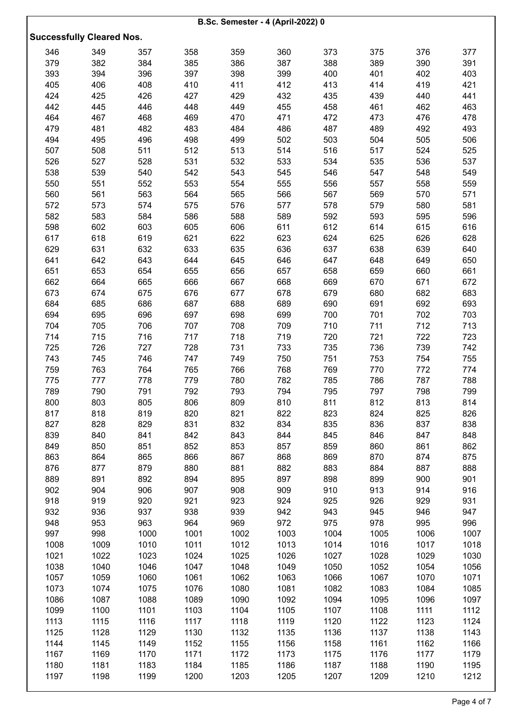| <b>B.Sc. Semester - 4 (April-2022) 0</b> |                                  |      |      |      |      |      |      |      |      |  |  |
|------------------------------------------|----------------------------------|------|------|------|------|------|------|------|------|--|--|
|                                          | <b>Successfully Cleared Nos.</b> |      |      |      |      |      |      |      |      |  |  |
|                                          |                                  |      |      |      |      |      |      |      |      |  |  |
| 346                                      | 349                              | 357  | 358  | 359  | 360  | 373  | 375  | 376  | 377  |  |  |
| 379                                      | 382                              | 384  | 385  | 386  | 387  | 388  | 389  | 390  | 391  |  |  |
| 393                                      | 394                              | 396  | 397  | 398  | 399  | 400  | 401  | 402  | 403  |  |  |
| 405                                      | 406                              | 408  | 410  | 411  | 412  | 413  | 414  | 419  | 421  |  |  |
| 424                                      | 425                              | 426  | 427  | 429  | 432  | 435  | 439  | 440  | 441  |  |  |
| 442                                      | 445                              | 446  | 448  | 449  | 455  | 458  | 461  | 462  | 463  |  |  |
| 464                                      | 467                              | 468  | 469  | 470  | 471  | 472  | 473  | 476  | 478  |  |  |
| 479                                      | 481                              | 482  | 483  | 484  | 486  | 487  | 489  | 492  | 493  |  |  |
| 494                                      | 495                              | 496  | 498  | 499  | 502  | 503  | 504  | 505  | 506  |  |  |
| 507                                      | 508                              | 511  | 512  | 513  | 514  | 516  | 517  | 524  | 525  |  |  |
| 526                                      | 527                              | 528  | 531  | 532  | 533  | 534  | 535  | 536  | 537  |  |  |
| 538                                      | 539                              | 540  | 542  | 543  | 545  | 546  | 547  | 548  | 549  |  |  |
| 550                                      | 551                              | 552  | 553  | 554  | 555  | 556  | 557  | 558  | 559  |  |  |
| 560                                      | 561                              | 563  | 564  | 565  | 566  | 567  | 569  | 570  | 571  |  |  |
| 572                                      | 573                              | 574  | 575  | 576  | 577  | 578  | 579  | 580  | 581  |  |  |
| 582                                      | 583                              | 584  | 586  | 588  | 589  | 592  | 593  | 595  | 596  |  |  |
| 598                                      | 602                              | 603  | 605  | 606  | 611  | 612  | 614  | 615  | 616  |  |  |
| 617                                      | 618                              | 619  | 621  | 622  | 623  | 624  | 625  | 626  | 628  |  |  |
| 629                                      | 631                              | 632  | 633  | 635  | 636  | 637  | 638  | 639  | 640  |  |  |
| 641                                      | 642                              | 643  | 644  | 645  | 646  | 647  | 648  | 649  | 650  |  |  |
| 651                                      | 653                              | 654  | 655  | 656  | 657  | 658  | 659  | 660  | 661  |  |  |
| 662                                      | 664                              | 665  | 666  | 667  | 668  | 669  | 670  | 671  | 672  |  |  |
| 673                                      | 674                              | 675  | 676  | 677  | 678  | 679  | 680  | 682  | 683  |  |  |
| 684                                      | 685                              | 686  | 687  | 688  | 689  | 690  | 691  | 692  | 693  |  |  |
| 694                                      | 695                              | 696  | 697  | 698  | 699  | 700  | 701  | 702  | 703  |  |  |
| 704                                      | 705                              | 706  | 707  | 708  | 709  | 710  | 711  | 712  | 713  |  |  |
| 714                                      | 715                              | 716  | 717  | 718  | 719  | 720  | 721  | 722  | 723  |  |  |
| 725                                      | 726                              | 727  | 728  | 731  | 733  | 735  | 736  | 739  | 742  |  |  |
| 743                                      | 745                              | 746  | 747  | 749  | 750  | 751  | 753  | 754  | 755  |  |  |
| 759                                      | 763                              | 764  | 765  | 766  | 768  | 769  | 770  | 772  | 774  |  |  |
| 775                                      | 777                              | 778  | 779  | 780  | 782  | 785  | 786  | 787  | 788  |  |  |
| 789                                      | 790                              | 791  | 792  | 793  | 794  | 795  | 797  | 798  | 799  |  |  |
| 800                                      | 803                              | 805  | 806  | 809  | 810  | 811  | 812  | 813  | 814  |  |  |
| 817                                      | 818                              | 819  | 820  | 821  | 822  | 823  | 824  | 825  | 826  |  |  |
| 827                                      | 828                              | 829  | 831  | 832  | 834  | 835  | 836  | 837  | 838  |  |  |
| 839                                      | 840                              | 841  | 842  | 843  | 844  | 845  | 846  | 847  | 848  |  |  |
| 849                                      | 850                              | 851  | 852  | 853  | 857  | 859  | 860  | 861  | 862  |  |  |
| 863                                      | 864                              | 865  | 866  | 867  | 868  | 869  | 870  | 874  | 875  |  |  |
| 876                                      | 877                              | 879  | 880  | 881  | 882  | 883  | 884  | 887  | 888  |  |  |
| 889                                      | 891                              | 892  | 894  | 895  | 897  | 898  | 899  | 900  | 901  |  |  |
| 902                                      | 904                              | 906  | 907  | 908  | 909  | 910  | 913  | 914  | 916  |  |  |
| 918                                      | 919                              | 920  | 921  | 923  | 924  | 925  | 926  | 929  | 931  |  |  |
| 932                                      | 936                              | 937  | 938  | 939  | 942  | 943  | 945  | 946  | 947  |  |  |
| 948                                      | 953                              | 963  | 964  | 969  | 972  | 975  | 978  | 995  | 996  |  |  |
| 997                                      | 998                              | 1000 | 1001 | 1002 | 1003 | 1004 | 1005 | 1006 | 1007 |  |  |
| 1008                                     | 1009                             | 1010 | 1011 | 1012 | 1013 | 1014 | 1016 | 1017 | 1018 |  |  |
| 1021                                     | 1022                             | 1023 | 1024 | 1025 | 1026 | 1027 | 1028 | 1029 | 1030 |  |  |
| 1038                                     | 1040                             | 1046 | 1047 | 1048 | 1049 | 1050 | 1052 | 1054 | 1056 |  |  |
| 1057                                     | 1059                             | 1060 | 1061 | 1062 | 1063 | 1066 | 1067 | 1070 | 1071 |  |  |
| 1073                                     | 1074                             | 1075 | 1076 | 1080 | 1081 | 1082 | 1083 | 1084 | 1085 |  |  |
| 1086                                     | 1087                             | 1088 | 1089 | 1090 | 1092 | 1094 | 1095 | 1096 | 1097 |  |  |
| 1099                                     | 1100                             | 1101 | 1103 | 1104 | 1105 | 1107 | 1108 | 1111 | 1112 |  |  |
| 1113                                     | 1115                             | 1116 | 1117 | 1118 | 1119 | 1120 | 1122 | 1123 | 1124 |  |  |
| 1125                                     | 1128                             | 1129 | 1130 | 1132 | 1135 | 1136 | 1137 | 1138 | 1143 |  |  |
| 1144                                     | 1145                             | 1149 | 1152 | 1155 | 1156 | 1158 | 1161 | 1162 | 1166 |  |  |
| 1167                                     | 1169                             | 1170 | 1171 | 1172 | 1173 | 1175 | 1176 | 1177 | 1179 |  |  |
| 1180                                     | 1181                             | 1183 | 1184 | 1185 | 1186 | 1187 | 1188 | 1190 | 1195 |  |  |
| 1197                                     | 1198                             | 1199 | 1200 | 1203 | 1205 | 1207 | 1209 | 1210 | 1212 |  |  |
|                                          |                                  |      |      |      |      |      |      |      |      |  |  |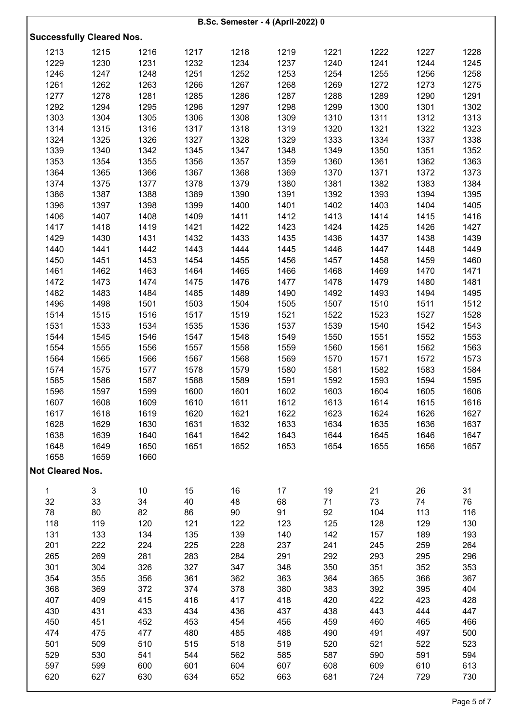|                         |                                  |      |      | <b>B.Sc. Semester - 4 (April-2022) 0</b> |      |      |      |      |      |
|-------------------------|----------------------------------|------|------|------------------------------------------|------|------|------|------|------|
|                         |                                  |      |      |                                          |      |      |      |      |      |
|                         | <b>Successfully Cleared Nos.</b> |      |      |                                          |      |      |      |      |      |
| 1213                    | 1215                             | 1216 | 1217 | 1218                                     | 1219 | 1221 | 1222 | 1227 | 1228 |
| 1229                    | 1230                             | 1231 | 1232 | 1234                                     | 1237 | 1240 | 1241 | 1244 | 1245 |
| 1246                    | 1247                             | 1248 | 1251 | 1252                                     | 1253 | 1254 | 1255 | 1256 | 1258 |
| 1261                    | 1262                             | 1263 | 1266 | 1267                                     | 1268 | 1269 | 1272 | 1273 | 1275 |
| 1277                    | 1278                             | 1281 | 1285 | 1286                                     | 1287 | 1288 | 1289 | 1290 | 1291 |
| 1292                    | 1294                             | 1295 | 1296 | 1297                                     | 1298 | 1299 | 1300 | 1301 | 1302 |
| 1303                    | 1304                             | 1305 | 1306 | 1308                                     | 1309 | 1310 | 1311 | 1312 | 1313 |
| 1314                    | 1315                             | 1316 | 1317 | 1318                                     | 1319 | 1320 | 1321 | 1322 | 1323 |
| 1324                    | 1325                             | 1326 | 1327 | 1328                                     | 1329 | 1333 | 1334 | 1337 | 1338 |
| 1339                    | 1340                             | 1342 | 1345 | 1347                                     | 1348 | 1349 |      |      | 1352 |
|                         |                                  |      |      |                                          |      |      | 1350 | 1351 |      |
| 1353                    | 1354                             | 1355 | 1356 | 1357                                     | 1359 | 1360 | 1361 | 1362 | 1363 |
| 1364                    | 1365                             | 1366 | 1367 | 1368                                     | 1369 | 1370 | 1371 | 1372 | 1373 |
| 1374                    | 1375                             | 1377 | 1378 | 1379                                     | 1380 | 1381 | 1382 | 1383 | 1384 |
| 1386                    | 1387                             | 1388 | 1389 | 1390                                     | 1391 | 1392 | 1393 | 1394 | 1395 |
| 1396                    | 1397                             | 1398 | 1399 | 1400                                     | 1401 | 1402 | 1403 | 1404 | 1405 |
| 1406                    | 1407                             | 1408 | 1409 | 1411                                     | 1412 | 1413 | 1414 | 1415 | 1416 |
| 1417                    | 1418                             | 1419 | 1421 | 1422                                     | 1423 | 1424 | 1425 | 1426 | 1427 |
| 1429                    | 1430                             | 1431 | 1432 | 1433                                     | 1435 | 1436 | 1437 | 1438 | 1439 |
| 1440                    | 1441                             | 1442 | 1443 | 1444                                     | 1445 | 1446 | 1447 | 1448 | 1449 |
| 1450                    | 1451                             | 1453 | 1454 | 1455                                     | 1456 | 1457 | 1458 | 1459 | 1460 |
| 1461                    | 1462                             | 1463 | 1464 | 1465                                     | 1466 | 1468 | 1469 | 1470 | 1471 |
| 1472                    | 1473                             | 1474 | 1475 | 1476                                     | 1477 | 1478 | 1479 | 1480 | 1481 |
| 1482                    | 1483                             | 1484 | 1485 | 1489                                     | 1490 | 1492 | 1493 | 1494 | 1495 |
| 1496                    | 1498                             | 1501 | 1503 | 1504                                     | 1505 | 1507 | 1510 | 1511 | 1512 |
| 1514                    | 1515                             | 1516 | 1517 | 1519                                     | 1521 | 1522 | 1523 | 1527 | 1528 |
| 1531                    | 1533                             | 1534 | 1535 | 1536                                     | 1537 | 1539 | 1540 | 1542 | 1543 |
| 1544                    | 1545                             | 1546 | 1547 | 1548                                     | 1549 | 1550 | 1551 | 1552 | 1553 |
| 1554                    | 1555                             | 1556 | 1557 | 1558                                     | 1559 | 1560 | 1561 | 1562 | 1563 |
| 1564                    | 1565                             | 1566 | 1567 | 1568                                     | 1569 | 1570 | 1571 | 1572 | 1573 |
| 1574                    | 1575                             | 1577 | 1578 | 1579                                     | 1580 | 1581 | 1582 | 1583 | 1584 |
| 1585                    | 1586                             | 1587 | 1588 | 1589                                     | 1591 | 1592 | 1593 | 1594 | 1595 |
| 1596                    | 1597                             | 1599 | 1600 | 1601                                     | 1602 | 1603 | 1604 | 1605 | 1606 |
| 1607                    | 1608                             | 1609 | 1610 | 1611                                     | 1612 | 1613 | 1614 | 1615 | 1616 |
| 1617                    | 1618                             | 1619 | 1620 | 1621                                     | 1622 | 1623 | 1624 | 1626 | 1627 |
| 1628                    | 1629                             | 1630 | 1631 | 1632                                     | 1633 | 1634 | 1635 | 1636 | 1637 |
| 1638                    | 1639                             | 1640 | 1641 | 1642                                     | 1643 | 1644 | 1645 | 1646 | 1647 |
| 1648                    | 1649                             | 1650 | 1651 | 1652                                     | 1653 | 1654 | 1655 | 1656 | 1657 |
| 1658                    | 1659                             | 1660 |      |                                          |      |      |      |      |      |
|                         |                                  |      |      |                                          |      |      |      |      |      |
| <b>Not Cleared Nos.</b> |                                  |      |      |                                          |      |      |      |      |      |
| 1                       | 3                                | 10   | 15   | 16                                       | 17   | 19   | 21   | 26   | 31   |
| 32                      | 33                               | 34   | 40   | 48                                       | 68   | 71   | 73   | 74   | 76   |
| 78                      | 80                               | 82   | 86   | 90                                       | 91   | 92   | 104  | 113  | 116  |
| 118                     | 119                              | 120  | 121  | 122                                      | 123  | 125  | 128  | 129  | 130  |
| 131                     | 133                              | 134  | 135  | 139                                      | 140  | 142  | 157  | 189  | 193  |
| 201                     | 222                              | 224  | 225  | 228                                      | 237  | 241  | 245  | 259  | 264  |
| 265                     | 269                              | 281  | 283  | 284                                      | 291  | 292  | 293  | 295  | 296  |
|                         |                                  |      |      |                                          |      |      |      |      |      |
| 301                     | 304                              | 326  | 327  | 347                                      | 348  | 350  | 351  | 352  | 353  |
| 354                     | 355                              | 356  | 361  | 362                                      | 363  | 364  | 365  | 366  | 367  |
| 368                     | 369                              | 372  | 374  | 378                                      | 380  | 383  | 392  | 395  | 404  |
| 407                     | 409                              | 415  | 416  | 417                                      | 418  | 420  | 422  | 423  | 428  |
| 430                     | 431                              | 433  | 434  | 436                                      | 437  | 438  | 443  | 444  | 447  |
| 450                     | 451                              | 452  | 453  | 454                                      | 456  | 459  | 460  | 465  | 466  |
| 474                     | 475                              | 477  | 480  | 485                                      | 488  | 490  | 491  | 497  | 500  |
| 501                     | 509                              | 510  | 515  | 518                                      | 519  | 520  | 521  | 522  | 523  |
| 529                     | 530                              | 541  | 544  | 562                                      | 585  | 587  | 590  | 591  | 594  |
| 597                     | 599                              | 600  | 601  | 604                                      | 607  | 608  | 609  | 610  | 613  |
| 620                     | 627                              | 630  | 634  | 652                                      | 663  | 681  | 724  | 729  | 730  |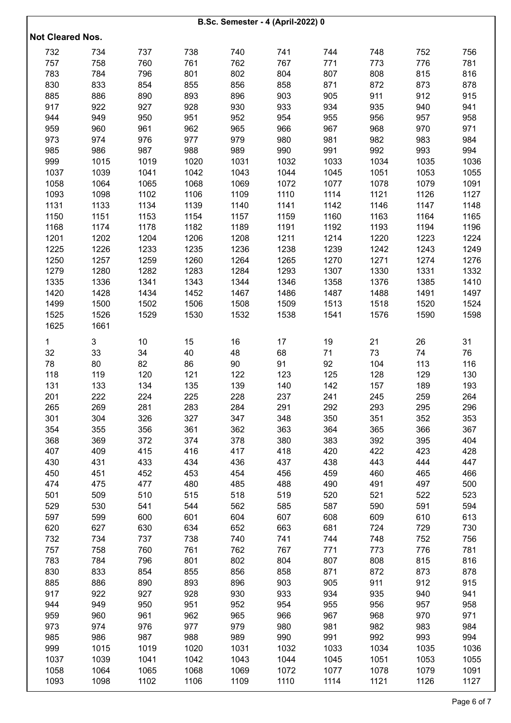| <b>B.Sc. Semester - 4 (April-2022) 0</b> |      |      |      |      |      |      |      |      |      |  |  |
|------------------------------------------|------|------|------|------|------|------|------|------|------|--|--|
| <b>Not Cleared Nos.</b>                  |      |      |      |      |      |      |      |      |      |  |  |
| 732                                      | 734  | 737  | 738  | 740  | 741  | 744  | 748  | 752  | 756  |  |  |
| 757                                      | 758  | 760  | 761  | 762  | 767  | 771  | 773  | 776  | 781  |  |  |
| 783                                      | 784  | 796  | 801  | 802  | 804  | 807  | 808  | 815  | 816  |  |  |
| 830                                      | 833  | 854  | 855  | 856  | 858  | 871  | 872  | 873  | 878  |  |  |
| 885                                      | 886  | 890  | 893  | 896  | 903  | 905  | 911  | 912  | 915  |  |  |
| 917                                      | 922  | 927  | 928  | 930  | 933  | 934  | 935  | 940  | 941  |  |  |
| 944                                      | 949  | 950  | 951  | 952  | 954  | 955  | 956  | 957  | 958  |  |  |
| 959                                      | 960  | 961  | 962  | 965  | 966  | 967  | 968  | 970  | 971  |  |  |
| 973                                      | 974  | 976  | 977  | 979  | 980  | 981  | 982  | 983  | 984  |  |  |
| 985                                      | 986  | 987  | 988  | 989  | 990  | 991  | 992  | 993  | 994  |  |  |
| 999                                      | 1015 | 1019 | 1020 | 1031 | 1032 | 1033 | 1034 | 1035 | 1036 |  |  |
| 1037                                     | 1039 | 1041 | 1042 | 1043 | 1044 | 1045 | 1051 | 1053 | 1055 |  |  |
| 1058                                     | 1064 | 1065 | 1068 | 1069 | 1072 | 1077 | 1078 | 1079 | 1091 |  |  |
| 1093                                     | 1098 | 1102 | 1106 | 1109 | 1110 | 1114 | 1121 | 1126 | 1127 |  |  |
| 1131                                     | 1133 | 1134 | 1139 | 1140 | 1141 | 1142 | 1146 | 1147 | 1148 |  |  |
| 1150                                     | 1151 | 1153 | 1154 | 1157 | 1159 | 1160 | 1163 | 1164 | 1165 |  |  |
| 1168                                     | 1174 | 1178 | 1182 | 1189 | 1191 | 1192 | 1193 | 1194 | 1196 |  |  |
| 1201                                     | 1202 | 1204 | 1206 | 1208 | 1211 | 1214 | 1220 | 1223 | 1224 |  |  |
| 1225                                     | 1226 | 1233 | 1235 | 1236 | 1238 | 1239 | 1242 | 1243 | 1249 |  |  |
| 1250                                     | 1257 | 1259 | 1260 | 1264 | 1265 | 1270 | 1271 | 1274 | 1276 |  |  |
| 1279                                     | 1280 | 1282 | 1283 | 1284 | 1293 | 1307 | 1330 | 1331 | 1332 |  |  |
| 1335                                     | 1336 | 1341 | 1343 | 1344 | 1346 | 1358 | 1376 | 1385 | 1410 |  |  |
| 1420                                     | 1428 | 1434 | 1452 | 1467 | 1486 | 1487 | 1488 | 1491 | 1497 |  |  |
| 1499                                     | 1500 | 1502 | 1506 | 1508 | 1509 | 1513 | 1518 | 1520 | 1524 |  |  |
| 1525                                     | 1526 | 1529 | 1530 | 1532 | 1538 | 1541 | 1576 | 1590 | 1598 |  |  |
| 1625                                     | 1661 |      |      |      |      |      |      |      |      |  |  |
|                                          |      |      |      |      |      |      |      |      |      |  |  |
| 1                                        | 3    | 10   | 15   | 16   | 17   | 19   | 21   | 26   | 31   |  |  |
| 32                                       | 33   | 34   | 40   | 48   | 68   | 71   | 73   | 74   | 76   |  |  |
| 78                                       | 80   | 82   | 86   | 90   | 91   | 92   | 104  | 113  | 116  |  |  |
| 118                                      | 119  | 120  | 121  | 122  | 123  | 125  | 128  | 129  | 130  |  |  |
| 131                                      | 133  | 134  | 135  | 139  | 140  | 142  | 157  | 189  | 193  |  |  |
| 201                                      | 222  | 224  | 225  | 228  | 237  | 241  | 245  | 259  | 264  |  |  |
| 265                                      | 269  | 281  | 283  | 284  | 291  | 292  | 293  | 295  | 296  |  |  |
| 301                                      | 304  | 326  | 327  | 347  | 348  | 350  | 351  | 352  | 353  |  |  |
| 354                                      | 355  | 356  | 361  | 362  | 363  | 364  | 365  | 366  | 367  |  |  |
| 368                                      | 369  | 372  | 374  | 378  | 380  | 383  | 392  | 395  | 404  |  |  |
| 407                                      | 409  | 415  | 416  | 417  | 418  | 420  | 422  | 423  | 428  |  |  |
| 430                                      | 431  | 433  | 434  | 436  | 437  | 438  | 443  | 444  | 447  |  |  |
| 450                                      | 451  | 452  | 453  | 454  | 456  | 459  | 460  | 465  | 466  |  |  |
| 474                                      | 475  | 477  | 480  | 485  | 488  | 490  | 491  | 497  | 500  |  |  |
| 501                                      | 509  | 510  | 515  | 518  | 519  | 520  | 521  | 522  | 523  |  |  |
| 529                                      | 530  | 541  | 544  | 562  | 585  | 587  | 590  | 591  | 594  |  |  |
| 597                                      | 599  | 600  | 601  | 604  | 607  | 608  | 609  | 610  | 613  |  |  |
| 620                                      | 627  | 630  | 634  | 652  | 663  | 681  | 724  | 729  | 730  |  |  |
| 732                                      | 734  | 737  | 738  | 740  | 741  | 744  | 748  | 752  | 756  |  |  |
| 757                                      | 758  | 760  | 761  | 762  | 767  | 771  | 773  | 776  | 781  |  |  |
| 783                                      | 784  | 796  | 801  | 802  | 804  | 807  | 808  | 815  | 816  |  |  |
| 830                                      | 833  | 854  | 855  | 856  | 858  | 871  | 872  | 873  | 878  |  |  |
| 885                                      | 886  | 890  | 893  | 896  | 903  | 905  | 911  | 912  | 915  |  |  |
| 917                                      | 922  | 927  | 928  | 930  | 933  | 934  | 935  | 940  | 941  |  |  |
| 944                                      | 949  | 950  | 951  | 952  | 954  | 955  | 956  | 957  | 958  |  |  |
| 959                                      | 960  | 961  | 962  | 965  | 966  | 967  | 968  | 970  | 971  |  |  |
| 973                                      | 974  | 976  | 977  | 979  | 980  | 981  | 982  | 983  | 984  |  |  |
| 985                                      | 986  | 987  | 988  | 989  | 990  | 991  | 992  | 993  | 994  |  |  |
| 999                                      | 1015 | 1019 | 1020 | 1031 | 1032 | 1033 | 1034 | 1035 | 1036 |  |  |
| 1037                                     | 1039 | 1041 | 1042 | 1043 | 1044 | 1045 | 1051 | 1053 | 1055 |  |  |
| 1058                                     | 1064 | 1065 | 1068 | 1069 | 1072 | 1077 | 1078 | 1079 | 1091 |  |  |
| 1093                                     | 1098 | 1102 | 1106 | 1109 | 1110 | 1114 | 1121 | 1126 | 1127 |  |  |
|                                          |      |      |      |      |      |      |      |      |      |  |  |